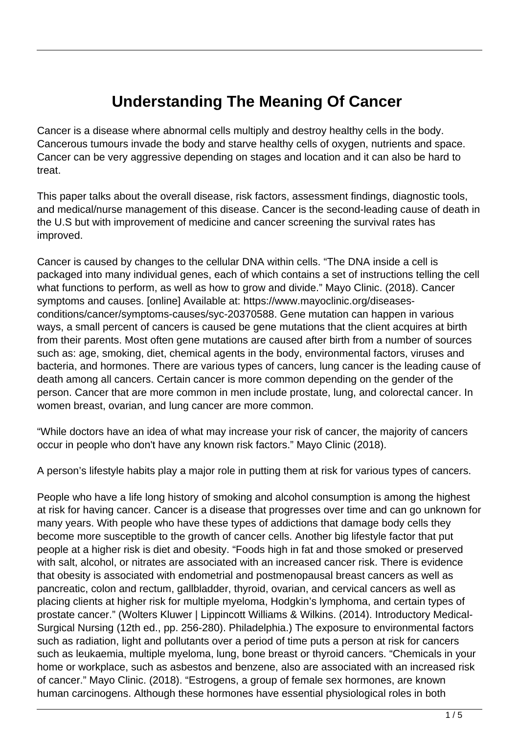## **Understanding The Meaning Of Cancer**

Cancer is a disease where abnormal cells multiply and destroy healthy cells in the body. Cancerous tumours invade the body and starve healthy cells of oxygen, nutrients and space. Cancer can be very aggressive depending on stages and location and it can also be hard to treat.

This paper talks about the overall disease, risk factors, assessment findings, diagnostic tools, and medical/nurse management of this disease. Cancer is the second-leading cause of death in the U.S but with improvement of medicine and cancer screening the survival rates has improved.

Cancer is caused by changes to the cellular DNA within cells. "The DNA inside a cell is packaged into many individual genes, each of which contains a set of instructions telling the cell what functions to perform, as well as how to grow and divide." Mayo Clinic. (2018). Cancer symptoms and causes. [online] Available at: https://www.mayoclinic.org/diseasesconditions/cancer/symptoms-causes/syc-20370588. Gene mutation can happen in various ways, a small percent of cancers is caused be gene mutations that the client acquires at birth from their parents. Most often gene mutations are caused after birth from a number of sources such as: age, smoking, diet, chemical agents in the body, environmental factors, viruses and bacteria, and hormones. There are various types of cancers, lung cancer is the leading cause of death among all cancers. Certain cancer is more common depending on the gender of the person. Cancer that are more common in men include prostate, lung, and colorectal cancer. In women breast, ovarian, and lung cancer are more common.

"While doctors have an idea of what may increase your risk of cancer, the majority of cancers occur in people who don't have any known risk factors." Mayo Clinic (2018).

A person's lifestyle habits play a major role in putting them at risk for various types of cancers.

People who have a life long history of smoking and alcohol consumption is among the highest at risk for having cancer. Cancer is a disease that progresses over time and can go unknown for many years. With people who have these types of addictions that damage body cells they become more susceptible to the growth of cancer cells. Another big lifestyle factor that put people at a higher risk is diet and obesity. "Foods high in fat and those smoked or preserved with salt, alcohol, or nitrates are associated with an increased cancer risk. There is evidence that obesity is associated with endometrial and postmenopausal breast cancers as well as pancreatic, colon and rectum, gallbladder, thyroid, ovarian, and cervical cancers as well as placing clients at higher risk for multiple myeloma, Hodgkin's lymphoma, and certain types of prostate cancer." (Wolters Kluwer | Lippincott Williams & Wilkins. (2014). Introductory Medical-Surgical Nursing (12th ed., pp. 256-280). Philadelphia.) The exposure to environmental factors such as radiation, light and pollutants over a period of time puts a person at risk for cancers such as leukaemia, multiple myeloma, lung, bone breast or thyroid cancers. "Chemicals in your home or workplace, such as asbestos and benzene, also are associated with an increased risk of cancer." Mayo Clinic. (2018). "Estrogens, a group of female sex hormones, are known human carcinogens. Although these hormones have essential physiological roles in both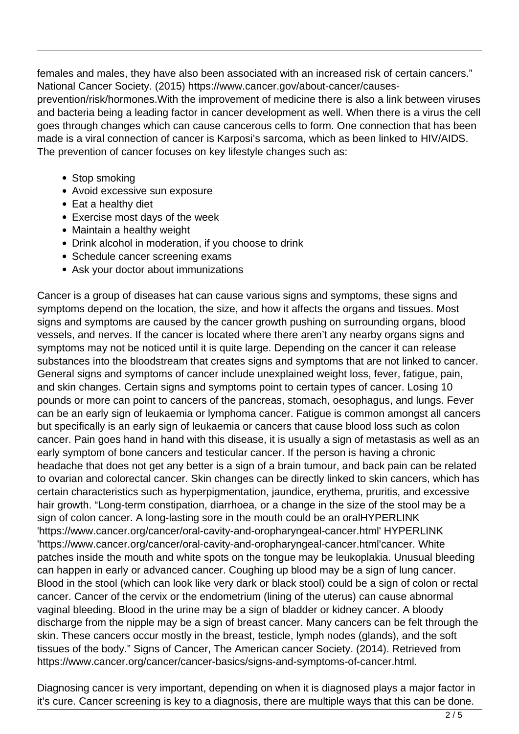females and males, they have also been associated with an increased risk of certain cancers." National Cancer Society. (2015) https://www.cancer.gov/about-cancer/causes-

prevention/risk/hormones.With the improvement of medicine there is also a link between viruses and bacteria being a leading factor in cancer development as well. When there is a virus the cell goes through changes which can cause cancerous cells to form. One connection that has been made is a viral connection of cancer is Karposi's sarcoma, which as been linked to HIV/AIDS. The prevention of cancer focuses on key lifestyle changes such as:

- Stop smoking
- Avoid excessive sun exposure
- Eat a healthy diet
- Exercise most days of the week
- Maintain a healthy weight
- Drink alcohol in moderation, if you choose to drink
- Schedule cancer screening exams
- Ask your doctor about immunizations

Cancer is a group of diseases hat can cause various signs and symptoms, these signs and symptoms depend on the location, the size, and how it affects the organs and tissues. Most signs and symptoms are caused by the cancer growth pushing on surrounding organs, blood vessels, and nerves. If the cancer is located where there aren't any nearby organs signs and symptoms may not be noticed until it is quite large. Depending on the cancer it can release substances into the bloodstream that creates signs and symptoms that are not linked to cancer. General signs and symptoms of cancer include unexplained weight loss, fever, fatigue, pain, and skin changes. Certain signs and symptoms point to certain types of cancer. Losing 10 pounds or more can point to cancers of the pancreas, stomach, oesophagus, and lungs. Fever can be an early sign of leukaemia or lymphoma cancer. Fatigue is common amongst all cancers but specifically is an early sign of leukaemia or cancers that cause blood loss such as colon cancer. Pain goes hand in hand with this disease, it is usually a sign of metastasis as well as an early symptom of bone cancers and testicular cancer. If the person is having a chronic headache that does not get any better is a sign of a brain tumour, and back pain can be related to ovarian and colorectal cancer. Skin changes can be directly linked to skin cancers, which has certain characteristics such as hyperpigmentation, jaundice, erythema, pruritis, and excessive hair growth. "Long-term constipation, diarrhoea, or a change in the size of the stool may be a sign of colon cancer. A long-lasting sore in the mouth could be an oralHYPERLINK 'https://www.cancer.org/cancer/oral-cavity-and-oropharyngeal-cancer.html' HYPERLINK 'https://www.cancer.org/cancer/oral-cavity-and-oropharyngeal-cancer.html'cancer. White patches inside the mouth and white spots on the tongue may be leukoplakia. Unusual bleeding can happen in early or advanced cancer. Coughing up blood may be a sign of lung cancer. Blood in the stool (which can look like very dark or black stool) could be a sign of colon or rectal cancer. Cancer of the cervix or the endometrium (lining of the uterus) can cause abnormal vaginal bleeding. Blood in the urine may be a sign of bladder or kidney cancer. A bloody discharge from the nipple may be a sign of breast cancer. Many cancers can be felt through the skin. These cancers occur mostly in the breast, testicle, lymph nodes (glands), and the soft tissues of the body." Signs of Cancer, The American cancer Society. (2014). Retrieved from https://www.cancer.org/cancer/cancer-basics/signs-and-symptoms-of-cancer.html.

Diagnosing cancer is very important, depending on when it is diagnosed plays a major factor in it's cure. Cancer screening is key to a diagnosis, there are multiple ways that this can be done.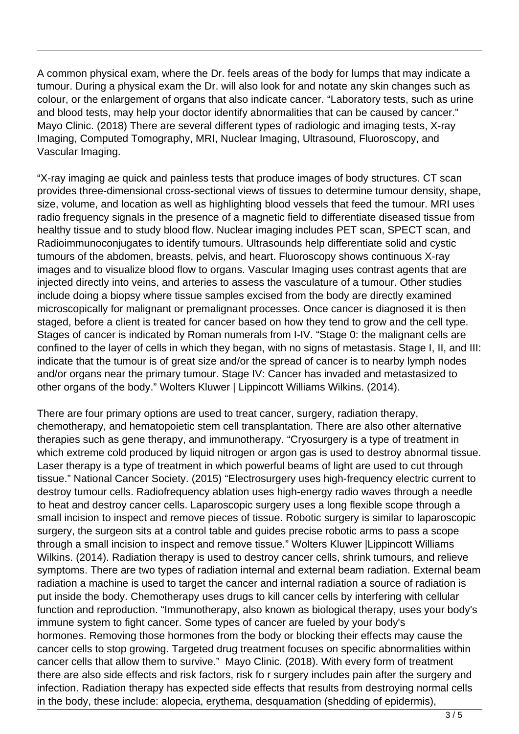A common physical exam, where the Dr. feels areas of the body for lumps that may indicate a tumour. During a physical exam the Dr. will also look for and notate any skin changes such as colour, or the enlargement of organs that also indicate cancer. "Laboratory tests, such as urine and blood tests, may help your doctor identify abnormalities that can be caused by cancer." Mayo Clinic. (2018) There are several different types of radiologic and imaging tests, X-ray Imaging, Computed Tomography, MRI, Nuclear Imaging, Ultrasound, Fluoroscopy, and Vascular Imaging.

"X-ray imaging ae quick and painless tests that produce images of body structures. CT scan provides three-dimensional cross-sectional views of tissues to determine tumour density, shape, size, volume, and location as well as highlighting blood vessels that feed the tumour. MRI uses radio frequency signals in the presence of a magnetic field to differentiate diseased tissue from healthy tissue and to study blood flow. Nuclear imaging includes PET scan, SPECT scan, and Radioimmunoconjugates to identify tumours. Ultrasounds help differentiate solid and cystic tumours of the abdomen, breasts, pelvis, and heart. Fluoroscopy shows continuous X-ray images and to visualize blood flow to organs. Vascular Imaging uses contrast agents that are injected directly into veins, and arteries to assess the vasculature of a tumour. Other studies include doing a biopsy where tissue samples excised from the body are directly examined microscopically for malignant or premalignant processes. Once cancer is diagnosed it is then staged, before a client is treated for cancer based on how they tend to grow and the cell type. Stages of cancer is indicated by Roman numerals from I-IV. "Stage 0: the malignant cells are confined to the layer of cells in which they began, with no signs of metastasis. Stage I, II, and III: indicate that the tumour is of great size and/or the spread of cancer is to nearby lymph nodes and/or organs near the primary tumour. Stage IV: Cancer has invaded and metastasized to other organs of the body." Wolters Kluwer | Lippincott Williams Wilkins. (2014).

There are four primary options are used to treat cancer, surgery, radiation therapy, chemotherapy, and hematopoietic stem cell transplantation. There are also other alternative therapies such as gene therapy, and immunotherapy. "Cryosurgery is a type of treatment in which extreme cold produced by liquid nitrogen or argon gas is used to destroy abnormal tissue. Laser therapy is a type of treatment in which powerful beams of light are used to cut through tissue." National Cancer Society. (2015) "Electrosurgery uses high-frequency electric current to destroy tumour cells. Radiofrequency ablation uses high-energy radio waves through a needle to heat and destroy cancer cells. Laparoscopic surgery uses a long flexible scope through a small incision to inspect and remove pieces of tissue. Robotic surgery is similar to laparoscopic surgery, the surgeon sits at a control table and guides precise robotic arms to pass a scope through a small incision to inspect and remove tissue." Wolters Kluwer |Lippincott Williams Wilkins. (2014). Radiation therapy is used to destroy cancer cells, shrink tumours, and relieve symptoms. There are two types of radiation internal and external beam radiation. External beam radiation a machine is used to target the cancer and internal radiation a source of radiation is put inside the body. Chemotherapy uses drugs to kill cancer cells by interfering with cellular function and reproduction. "Immunotherapy, also known as biological therapy, uses your body's immune system to fight cancer. Some types of cancer are fueled by your body's hormones. Removing those hormones from the body or blocking their effects may cause the cancer cells to stop growing. Targeted drug treatment focuses on specific abnormalities within cancer cells that allow them to survive." Mayo Clinic. (2018). With every form of treatment there are also side effects and risk factors, risk fo r surgery includes pain after the surgery and infection. Radiation therapy has expected side effects that results from destroying normal cells in the body, these include: alopecia, erythema, desquamation (shedding of epidermis),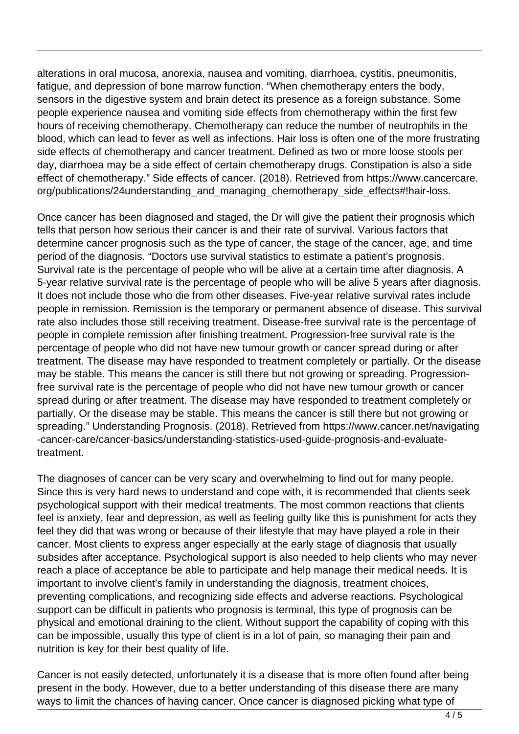alterations in oral mucosa, anorexia, nausea and vomiting, diarrhoea, cystitis, pneumonitis, fatigue, and depression of bone marrow function. "When chemotherapy enters the body, sensors in the digestive system and brain detect its presence as a foreign substance. Some people experience nausea and vomiting side effects from chemotherapy within the first few hours of receiving chemotherapy. Chemotherapy can reduce the number of neutrophils in the blood, which can lead to fever as well as infections. Hair loss is often one of the more frustrating side effects of chemotherapy and cancer treatment. Defined as two or more loose stools per day, diarrhoea may be a side effect of certain chemotherapy drugs. Constipation is also a side effect of chemotherapy." Side effects of cancer. (2018). Retrieved from https://www.cancercare. org/publications/24understanding\_and\_managing\_chemotherapy\_side\_effects#!hair-loss.

Once cancer has been diagnosed and staged, the Dr will give the patient their prognosis which tells that person how serious their cancer is and their rate of survival. Various factors that determine cancer prognosis such as the type of cancer, the stage of the cancer, age, and time period of the diagnosis. "Doctors use survival statistics to estimate a patient's prognosis. Survival rate is the percentage of people who will be alive at a certain time after diagnosis. A 5-year relative survival rate is the percentage of people who will be alive 5 years after diagnosis. It does not include those who die from other diseases. Five-year relative survival rates include people in remission. Remission is the temporary or permanent absence of disease. This survival rate also includes those still receiving treatment. Disease-free survival rate is the percentage of people in complete remission after finishing treatment. Progression-free survival rate is the percentage of people who did not have new tumour growth or cancer spread during or after treatment. The disease may have responded to treatment completely or partially. Or the disease may be stable. This means the cancer is still there but not growing or spreading. Progressionfree survival rate is the percentage of people who did not have new tumour growth or cancer spread during or after treatment. The disease may have responded to treatment completely or partially. Or the disease may be stable. This means the cancer is still there but not growing or spreading." Understanding Prognosis. (2018). Retrieved from https://www.cancer.net/navigating -cancer-care/cancer-basics/understanding-statistics-used-guide-prognosis-and-evaluatetreatment.

The diagnoses of cancer can be very scary and overwhelming to find out for many people. Since this is very hard news to understand and cope with, it is recommended that clients seek psychological support with their medical treatments. The most common reactions that clients feel is anxiety, fear and depression, as well as feeling guilty like this is punishment for acts they feel they did that was wrong or because of their lifestyle that may have played a role in their cancer. Most clients to express anger especially at the early stage of diagnosis that usually subsides after acceptance. Psychological support is also needed to help clients who may never reach a place of acceptance be able to participate and help manage their medical needs. It is important to involve client's family in understanding the diagnosis, treatment choices, preventing complications, and recognizing side effects and adverse reactions. Psychological support can be difficult in patients who prognosis is terminal, this type of prognosis can be physical and emotional draining to the client. Without support the capability of coping with this can be impossible, usually this type of client is in a lot of pain, so managing their pain and nutrition is key for their best quality of life.

Cancer is not easily detected, unfortunately it is a disease that is more often found after being present in the body. However, due to a better understanding of this disease there are many ways to limit the chances of having cancer. Once cancer is diagnosed picking what type of